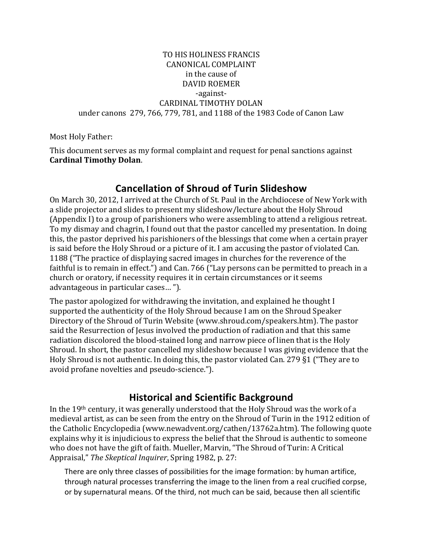#### TO HIS HOLINESS FRANCIS CANONICAL COMPLAINT in the cause of DAVID ROEMER -against-CARDINAL TIMOTHY DOLAN under canons 279, 766, 779, 781, and 1188 of the 1983 Code of Canon Law

Most Holy Father:

This document serves as my formal complaint and request for penal sanctions against **Cardinal Timothy Dolan**.

# **Cancellation of Shroud of Turin Slideshow**

On March 30, 2012, I arrived at the Church of St. Paul in the Archdiocese of New York with a slide projector and slides to present my slideshow/lecture about the Holy Shroud (Appendix I) to a group of parishioners who were assembling to attend a religious retreat. To my dismay and chagrin, I found out that the pastor cancelled my presentation. In doing this, the pastor deprived his parishioners of the blessings that come when a certain prayer is said before the Holy Shroud or a picture of it. I am accusing the pastor of violated Can. 1188 ("The practice of displaying sacred images in churches for the reverence of the faithful is to remain in effect.") and Can. 766 ("Lay persons can be permitted to preach in a church or oratory, if necessity requires it in certain circumstances or it seems advantageous in particular cases...").

The pastor apologized for withdrawing the invitation, and explained he thought I supported the authenticity of the Holy Shroud because I am on the Shroud Speaker Directory of the Shroud of Turin Website (www.shroud.com/speakers.htm). The pastor said the Resurrection of Jesus involved the production of radiation and that this same radiation discolored the blood-stained long and narrow piece of linen that is the Holy Shroud. In short, the pastor cancelled my slideshow because I was giving evidence that the Holy Shroud is not authentic. In doing this, the pastor violated Can. 279  $\S1$  ("They are to avoid profane novelties and pseudo-science.").

# **Historical and Scientific Background**

In the  $19<sup>th</sup>$  century, it was generally understood that the Holy Shroud was the work of a medieval artist, as can be seen from the entry on the Shroud of Turin in the 1912 edition of the Catholic Encyclopedia (www.newadvent.org/cathen/13762a.htm). The following quote explains why it is injudicious to express the belief that the Shroud is authentic to someone who does not have the gift of faith. Mueller, Marvin, "The Shroud of Turin: A Critical Appraisal," *The Skeptical Inquirer*, Spring 1982, p. 27:

There are only three classes of possibilities for the image formation: by human artifice, through natural processes transferring the image to the linen from a real crucified corpse, or by supernatural means. Of the third, not much can be said, because then all scientific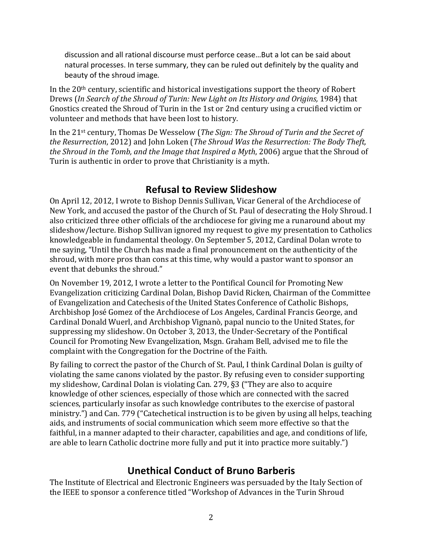discussion and all rational discourse must perforce cease...But a lot can be said about natural processes. In terse summary, they can be ruled out definitely by the quality and beauty of the shroud image.

In the  $20<sup>th</sup>$  century, scientific and historical investigations support the theory of Robert Drews (In Search of the Shroud of Turin: New Light on Its History and Origins, 1984) that Gnostics created the Shroud of Turin in the 1st or 2nd century using a crucified victim or volunteer and methods that have been lost to history.

In the 21<sup>st</sup> century, Thomas De Wesselow (*The Sign: The Shroud of Turin and the Secret of the Resurrection,* 2012) and John Loken (*The Shroud Was the Resurrection: The Body Theft, the Shroud in the Tomb, and the Image that Inspired a Myth, 2006)* argue that the Shroud of Turin is authentic in order to prove that Christianity is a myth.

# **Refusal to Review Slideshow**

On April 12, 2012, I wrote to Bishop Dennis Sullivan, Vicar General of the Archdiocese of New York, and accused the pastor of the Church of St. Paul of desecrating the Holy Shroud. I also criticized three other officials of the archdiocese for giving me a runaround about my slideshow/lecture. Bishop Sullivan ignored my request to give my presentation to Catholics knowledgeable in fundamental theology. On September 5, 2012, Cardinal Dolan wrote to me saying, "Until the Church has made a final pronouncement on the authenticity of the shroud, with more pros than cons at this time, why would a pastor want to sponsor an event that debunks the shroud."

On November 19, 2012, I wrote a letter to the Pontifical Council for Promoting New Evangelization criticizing Cardinal Dolan, Bishop David Ricken, Chairman of the Committee of Evangelization and Catechesis of the United States Conference of Catholic Bishops, Archbishop José Gomez of the Archdiocese of Los Angeles, Cardinal Francis George, and Cardinal Donald Wuerl, and Archbishop Vignanò, papal nuncio to the United States, for suppressing my slideshow. On October 3, 2013, the Under-Secretary of the Pontifical Council for Promoting New Evangelization, Msgn. Graham Bell, advised me to file the complaint with the Congregation for the Doctrine of the Faith.

By failing to correct the pastor of the Church of St. Paul, I think Cardinal Dolan is guilty of violating the same canons violated by the pastor. By refusing even to consider supporting my slideshow, Cardinal Dolan is violating Can. 279, §3 ("They are also to acquire knowledge of other sciences, especially of those which are connected with the sacred sciences, particularly insofar as such knowledge contributes to the exercise of pastoral ministry.") and Can. 779 ("Catechetical instruction is to be given by using all helps, teaching aids, and instruments of social communication which seem more effective so that the faithful, in a manner adapted to their character, capabilities and age, and conditions of life, are able to learn Catholic doctrine more fully and put it into practice more suitably.")

# **Unethical Conduct of Bruno Barberis**

The Institute of Electrical and Electronic Engineers was persuaded by the Italy Section of the IEEE to sponsor a conference titled "Workshop of Advances in the Turin Shroud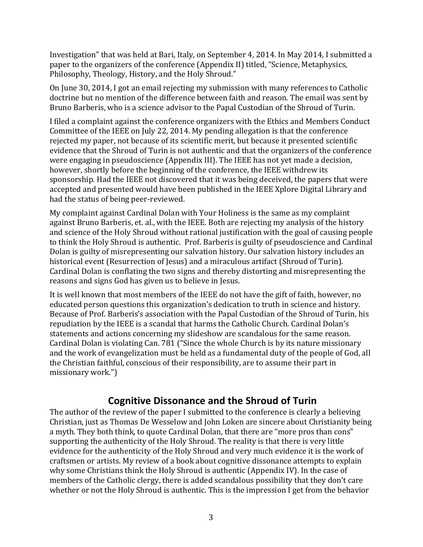Investigation" that was held at Bari, Italy, on September 4, 2014. In May 2014, I submitted a paper to the organizers of the conference (Appendix II) titled, "Science, Metaphysics, Philosophy, Theology, History, and the Holy Shroud."

On June 30, 2014, I got an email rejecting my submission with many references to Catholic doctrine but no mention of the difference between faith and reason. The email was sent by Bruno Barberis, who is a science advisor to the Papal Custodian of the Shroud of Turin.

I filed a complaint against the conference organizers with the Ethics and Members Conduct Committee of the IEEE on July 22, 2014. My pending allegation is that the conference rejected my paper, not because of its scientific merit, but because it presented scientific evidence that the Shroud of Turin is not authentic and that the organizers of the conference were engaging in pseudoscience (Appendix III). The IEEE has not vet made a decision, however, shortly before the beginning of the conference, the IEEE withdrew its sponsorship. Had the IEEE not discovered that it was being deceived, the papers that were accepted and presented would have been published in the IEEE Xplore Digital Library and had the status of being peer-reviewed.

My complaint against Cardinal Dolan with Your Holiness is the same as my complaint against Bruno Barberis, et. al., with the IEEE. Both are rejecting my analysis of the history and science of the Holy Shroud without rational iustification with the goal of causing people to think the Holy Shroud is authentic. Prof. Barberis is guilty of pseudoscience and Cardinal Dolan is guilty of misrepresenting our salvation history. Our salvation history includes an historical event (Resurrection of Jesus) and a miraculous artifact (Shroud of Turin). Cardinal Dolan is conflating the two signs and thereby distorting and misrepresenting the reasons and signs God has given us to believe in Jesus.

It is well known that most members of the IEEE do not have the gift of faith, however, no educated person questions this organization's dedication to truth in science and history. Because of Prof. Barberis's association with the Papal Custodian of the Shroud of Turin, his repudiation by the IEEE is a scandal that harms the Catholic Church. Cardinal Dolan's statements and actions concerning my slideshow are scandalous for the same reason. Cardinal Dolan is violating Can. 781 ("Since the whole Church is by its nature missionary and the work of evangelization must be held as a fundamental duty of the people of God, all the Christian faithful, conscious of their responsibility, are to assume their part in missionary work.")

# **Cognitive Dissonance and the Shroud of Turin**

The author of the review of the paper I submitted to the conference is clearly a believing Christian, just as Thomas De Wesselow and John Loken are sincere about Christianity being a myth. They both think, to quote Cardinal Dolan, that there are "more pros than cons" supporting the authenticity of the Holy Shroud. The reality is that there is very little evidence for the authenticity of the Holy Shroud and very much evidence it is the work of craftsmen or artists. My review of a book about cognitive dissonance attempts to explain why some Christians think the Holy Shroud is authentic (Appendix IV). In the case of members of the Catholic clergy, there is added scandalous possibility that they don't care whether or not the Holy Shroud is authentic. This is the impression I get from the behavior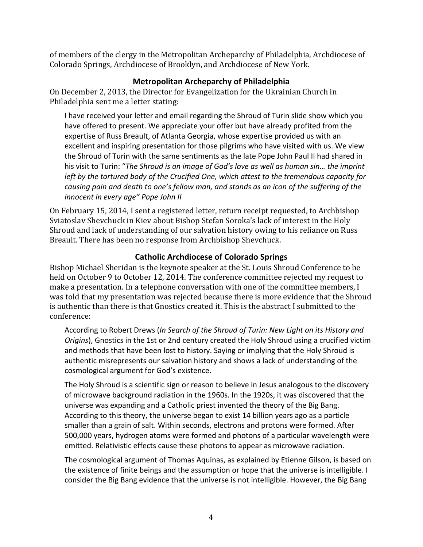of members of the clergy in the Metropolitan Archeparchy of Philadelphia, Archdiocese of Colorado Springs, Archdiocese of Brooklyn, and Archdiocese of New York.

### **Metropolitan Archeparchy of Philadelphia**

On December 2, 2013, the Director for Evangelization for the Ukrainian Church in Philadelphia sent me a letter stating:

I have received your letter and email regarding the Shroud of Turin slide show which you have offered to present. We appreciate your offer but have already profited from the expertise of Russ Breault, of Atlanta Georgia, whose expertise provided us with an excellent and inspiring presentation for those pilgrims who have visited with us. We view the Shroud of Turin with the same sentiments as the late Pope John Paul II had shared in his visit to Turin: "The Shroud is an image of God's love as well as human sin... the imprint *left by the tortured body of the Crucified One, which attest to the tremendous capacity for* causing pain and death to one's fellow man, and stands as an icon of the suffering of the *innocent in every age" Pope John II* 

On February 15, 2014, I sent a registered letter, return receipt requested, to Archbishop Sviatoslav Shevchuck in Kiev about Bishop Stefan Soroka's lack of interest in the Holy Shroud and lack of understanding of our salvation history owing to his reliance on Russ Breault. There has been no response from Archbishop Shevchuck.

### **Catholic Archdiocese of Colorado Springs**

Bishop Michael Sheridan is the keynote speaker at the St. Louis Shroud Conference to be held on October 9 to October 12, 2014. The conference committee rejected my request to make a presentation. In a telephone conversation with one of the committee members, I was told that my presentation was rejected because there is more evidence that the Shroud is authentic than there is that Gnostics created it. This is the abstract I submitted to the conference:

According to Robert Drews (In Search of the Shroud of Turin: New Light on its History and *Origins*), Gnostics in the 1st or 2nd century created the Holy Shroud using a crucified victim and methods that have been lost to history. Saying or implying that the Holy Shroud is authentic misrepresents our salvation history and shows a lack of understanding of the cosmological argument for God's existence.

The Holy Shroud is a scientific sign or reason to believe in Jesus analogous to the discovery of microwave background radiation in the 1960s. In the 1920s, it was discovered that the universe was expanding and a Catholic priest invented the theory of the Big Bang. According to this theory, the universe began to exist 14 billion years ago as a particle smaller than a grain of salt. Within seconds, electrons and protons were formed. After 500,000 years, hydrogen atoms were formed and photons of a particular wavelength were emitted. Relativistic effects cause these photons to appear as microwave radiation.

The cosmological argument of Thomas Aquinas, as explained by Etienne Gilson, is based on the existence of finite beings and the assumption or hope that the universe is intelligible. I consider the Big Bang evidence that the universe is not intelligible. However, the Big Bang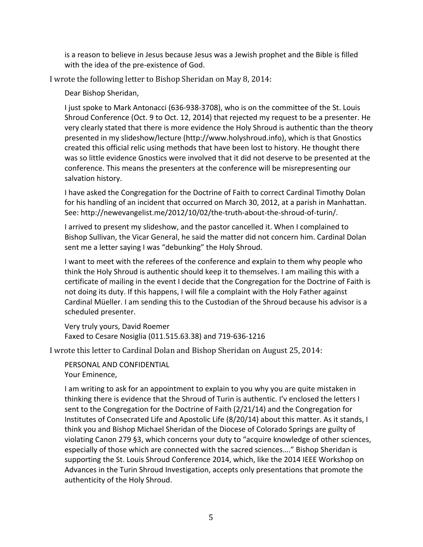is a reason to believe in Jesus because Jesus was a Jewish prophet and the Bible is filled with the idea of the pre-existence of God.

I wrote the following letter to Bishop Sheridan on May 8, 2014:

Dear Bishop Sheridan,

I just spoke to Mark Antonacci (636-938-3708), who is on the committee of the St. Louis Shroud Conference (Oct. 9 to Oct. 12, 2014) that rejected my request to be a presenter. He very clearly stated that there is more evidence the Holy Shroud is authentic than the theory presented in my slideshow/lecture (http://www.holyshroud.info), which is that Gnostics created this official relic using methods that have been lost to history. He thought there was so little evidence Gnostics were involved that it did not deserve to be presented at the conference. This means the presenters at the conference will be misrepresenting our salvation history.

I have asked the Congregation for the Doctrine of Faith to correct Cardinal Timothy Dolan for his handling of an incident that occurred on March 30, 2012, at a parish in Manhattan. See: http://newevangelist.me/2012/10/02/the-truth-about-the-shroud-of-turin/.

I arrived to present my slideshow, and the pastor cancelled it. When I complained to Bishop Sullivan, the Vicar General, he said the matter did not concern him. Cardinal Dolan sent me a letter saying I was "debunking" the Holy Shroud.

I want to meet with the referees of the conference and explain to them why people who think the Holy Shroud is authentic should keep it to themselves. I am mailing this with a certificate of mailing in the event I decide that the Congregation for the Doctrine of Faith is not doing its duty. If this happens, I will file a complaint with the Holy Father against Cardinal Müeller. I am sending this to the Custodian of the Shroud because his advisor is a scheduled presenter.

Very truly yours, David Roemer Faxed to Cesare Nosiglia (011.515.63.38) and 719-636-1216

I wrote this letter to Cardinal Dolan and Bishop Sheridan on August 25, 2014:

PERSONAL AND CONFIDENTIAL Your Eminence,

I am writing to ask for an appointment to explain to you why you are quite mistaken in thinking there is evidence that the Shroud of Turin is authentic. I'v enclosed the letters I sent to the Congregation for the Doctrine of Faith  $(2/21/14)$  and the Congregation for Institutes of Consecrated Life and Apostolic Life (8/20/14) about this matter. As it stands, I think you and Bishop Michael Sheridan of the Diocese of Colorado Springs are guilty of violating Canon 279 §3, which concerns your duty to "acquire knowledge of other sciences, especially of those which are connected with the sacred sciences...." Bishop Sheridan is supporting the St. Louis Shroud Conference 2014, which, like the 2014 IEEE Workshop on Advances in the Turin Shroud Investigation, accepts only presentations that promote the authenticity of the Holy Shroud.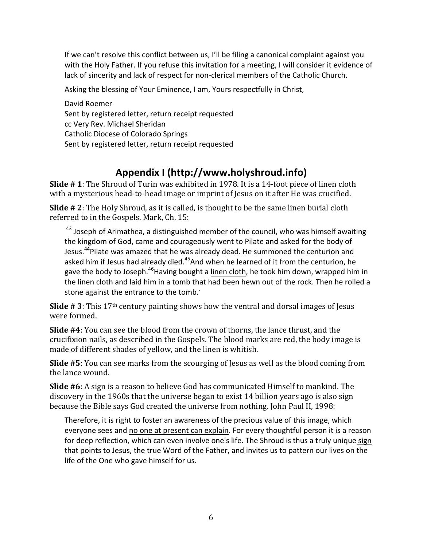If we can't resolve this conflict between us, I'll be filing a canonical complaint against you with the Holy Father. If you refuse this invitation for a meeting, I will consider it evidence of lack of sincerity and lack of respect for non-clerical members of the Catholic Church.

Asking the blessing of Your Eminence, I am, Yours respectfully in Christ,

David Roemer Sent by registered letter, return receipt requested cc Very Rev. Michael Sheridan Catholic Diocese of Colorado Springs Sent by registered letter, return receipt requested

# **Appendix I (http://www.holyshroud.info)**

**Slide # 1**: The Shroud of Turin was exhibited in 1978. It is a 14-foot piece of linen cloth with a mysterious head-to-head image or imprint of Jesus on it after He was crucified.

**Slide** # 2: The Holy Shroud, as it is called, is thought to be the same linen burial cloth referred to in the Gospels. Mark, Ch. 15:

 $43$  Joseph of Arimathea, a distinguished member of the council, who was himself awaiting the kingdom of God, came and courageously went to Pilate and asked for the body of Jesus.<sup>44</sup>Pilate was amazed that he was already dead. He summoned the centurion and asked him if Jesus had already died.<sup>45</sup>And when he learned of it from the centurion, he gave the body to Joseph.<sup>46</sup>Having bought a linen cloth, he took him down, wrapped him in the linen cloth and laid him in a tomb that had been hewn out of the rock. Then he rolled a stone against the entrance to the tomb.

**Slide**  $\#$  3: This 17<sup>th</sup> century painting shows how the ventral and dorsal images of Jesus were formed.

**Slide** #4: You can see the blood from the crown of thorns, the lance thrust, and the crucifixion nails, as described in the Gospels. The blood marks are red, the body image is made of different shades of yellow, and the linen is whitish.

**Slide** #5: You can see marks from the scourging of Jesus as well as the blood coming from the lance wound.

**Slide #6**: A sign is a reason to believe God has communicated Himself to mankind. The discovery in the 1960s that the universe began to exist 14 billion years ago is also sign because the Bible says God created the universe from nothing. John Paul II, 1998:

Therefore, it is right to foster an awareness of the precious value of this image, which everyone sees and no one at present can explain. For every thoughtful person it is a reason for deep reflection, which can even involve one's life. The Shroud is thus a truly unique sign that points to Jesus, the true Word of the Father, and invites us to pattern our lives on the life of the One who gave himself for us.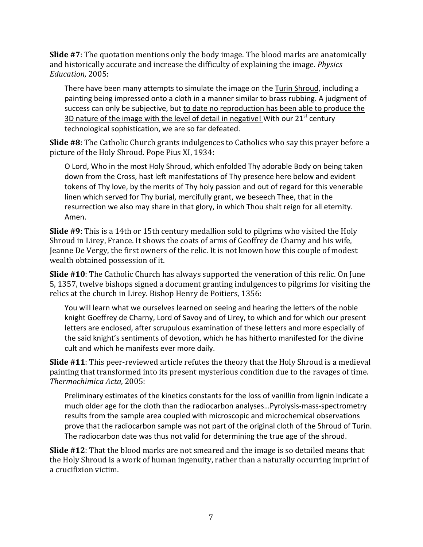**Slide** #7: The quotation mentions only the body image. The blood marks are anatomically and historically accurate and increase the difficulty of explaining the image. *Physics* Education, 2005:

There have been many attempts to simulate the image on the Turin Shroud, including a painting being impressed onto a cloth in a manner similar to brass rubbing. A judgment of success can only be subjective, but to date no reproduction has been able to produce the 3D nature of the image with the level of detail in negative! With our  $21<sup>st</sup>$  century technological sophistication, we are so far defeated.

**Slide #8**: The Catholic Church grants indulgences to Catholics who say this prayer before a picture of the Holy Shroud. Pope Pius XI, 1934:

O Lord, Who in the most Holy Shroud, which enfolded Thy adorable Body on being taken down from the Cross, hast left manifestations of Thy presence here below and evident tokens of Thy love, by the merits of Thy holy passion and out of regard for this venerable linen which served for Thy burial, mercifully grant, we beseech Thee, that in the resurrection we also may share in that glory, in which Thou shalt reign for all eternity. Amen.

**Slide** #9: This is a 14th or 15th century medallion sold to pilgrims who visited the Holy Shroud in Lirey, France. It shows the coats of arms of Geoffrey de Charny and his wife, Jeanne De Vergy, the first owners of the relic. It is not known how this couple of modest wealth obtained possession of it.

**Slide** #10: The Catholic Church has always supported the veneration of this relic. On June 5, 1357, twelve bishops signed a document granting indulgences to pilgrims for visiting the relics at the church in Lirey. Bishop Henry de Poitiers, 1356:

You will learn what we ourselves learned on seeing and hearing the letters of the noble knight Goeffrey de Charny, Lord of Savoy and of Lirey, to which and for which our present letters are enclosed, after scrupulous examination of these letters and more especially of the said knight's sentiments of devotion, which he has hitherto manifested for the divine cult and which he manifests ever more daily.

**Slide** #11: This peer-reviewed article refutes the theory that the Holy Shroud is a medieval painting that transformed into its present mysterious condition due to the ravages of time. *Thermochimica Acta*, 2005:

Preliminary estimates of the kinetics constants for the loss of vanillin from lignin indicate a much older age for the cloth than the radiocarbon analyses...Pyrolysis-mass-spectrometry results from the sample area coupled with microscopic and microchemical observations prove that the radiocarbon sample was not part of the original cloth of the Shroud of Turin. The radiocarbon date was thus not valid for determining the true age of the shroud.

**Slide #12**: That the blood marks are not smeared and the image is so detailed means that the Holy Shroud is a work of human ingenuity, rather than a naturally occurring imprint of a crucifixion victim.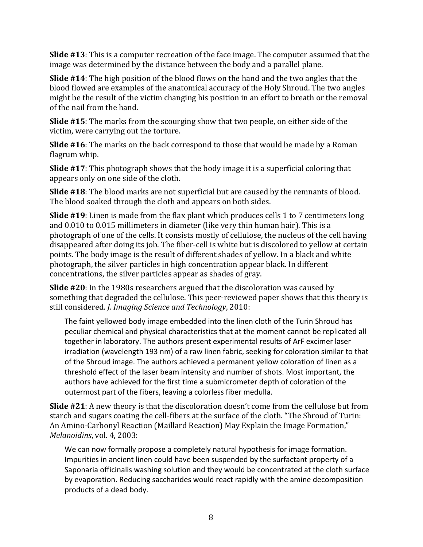**Slide** #13: This is a computer recreation of the face image. The computer assumed that the image was determined by the distance between the body and a parallel plane.

**Slide** #14: The high position of the blood flows on the hand and the two angles that the blood flowed are examples of the anatomical accuracy of the Holy Shroud. The two angles might be the result of the victim changing his position in an effort to breath or the removal of the nail from the hand.

**Slide** #15: The marks from the scourging show that two people, on either side of the victim, were carrying out the torture.

**Slide** #16: The marks on the back correspond to those that would be made by a Roman flagrum whip.

**Slide** #17: This photograph shows that the body image it is a superficial coloring that appears only on one side of the cloth.

**Slide #18**: The blood marks are not superficial but are caused by the remnants of blood. The blood soaked through the cloth and appears on both sides.

**Slide** #19: Linen is made from the flax plant which produces cells 1 to 7 centimeters long and 0.010 to 0.015 millimeters in diameter (like very thin human hair). This is a photograph of one of the cells. It consists mostly of cellulose, the nucleus of the cell having disappeared after doing its job. The fiber-cell is white but is discolored to yellow at certain points. The body image is the result of different shades of yellow. In a black and white photograph, the silver particles in high concentration appear black. In different concentrations, the silver particles appear as shades of gray.

**Slide** #20: In the 1980s researchers argued that the discoloration was caused by something that degraded the cellulose. This peer-reviewed paper shows that this theory is still considered. *J. Imaging Science and Technology*, 2010:

The faint yellowed body image embedded into the linen cloth of the Turin Shroud has peculiar chemical and physical characteristics that at the moment cannot be replicated all together in laboratory. The authors present experimental results of ArF excimer laser irradiation (wavelength 193 nm) of a raw linen fabric, seeking for coloration similar to that of the Shroud image. The authors achieved a permanent yellow coloration of linen as a threshold effect of the laser beam intensity and number of shots. Most important, the authors have achieved for the first time a submicrometer depth of coloration of the outermost part of the fibers, leaving a colorless fiber medulla.

**Slide #21**: A new theory is that the discoloration doesn't come from the cellulose but from starch and sugars coating the cell-fibers at the surface of the cloth. "The Shroud of Turin: An Amino-Carbonyl Reaction (Maillard Reaction) May Explain the Image Formation," *Melanoidins*, vol. 4, 2003:

We can now formally propose a completely natural hypothesis for image formation. Impurities in ancient linen could have been suspended by the surfactant property of a Saponaria officinalis washing solution and they would be concentrated at the cloth surface by evaporation. Reducing saccharides would react rapidly with the amine decomposition products of a dead body.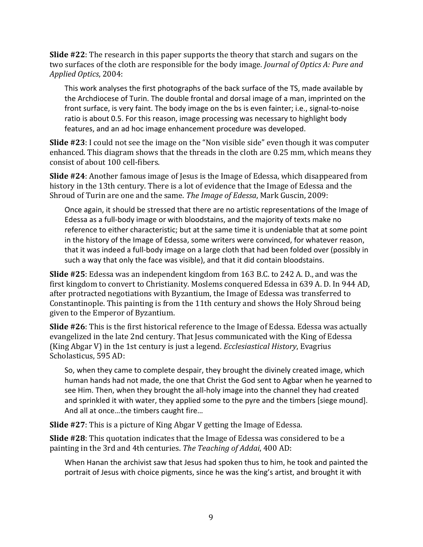**Slide** #22: The research in this paper supports the theory that starch and sugars on the two surfaces of the cloth are responsible for the body image. *Journal of Optics A: Pure and Applied Optics*, 2004:

This work analyses the first photographs of the back surface of the TS, made available by the Archdiocese of Turin. The double frontal and dorsal image of a man, imprinted on the front surface, is very faint. The body image on the bs is even fainter; i.e., signal-to-noise ratio is about 0.5. For this reason, image processing was necessary to highlight body features, and an ad hoc image enhancement procedure was developed.

**Slide** #23: I could not see the image on the "Non visible side" even though it was computer enhanced. This diagram shows that the threads in the cloth are 0.25 mm, which means they consist of about 100 cell-fibers.

**Slide #24**: Another famous image of Jesus is the Image of Edessa, which disappeared from history in the 13th century. There is a lot of evidence that the Image of Edessa and the Shroud of Turin are one and the same. *The Image of Edessa*, Mark Guscin, 2009:

Once again, it should be stressed that there are no artistic representations of the Image of Edessa as a full-body image or with bloodstains, and the majority of texts make no reference to either characteristic; but at the same time it is undeniable that at some point in the history of the Image of Edessa, some writers were convinced, for whatever reason, that it was indeed a full-body image on a large cloth that had been folded over (possibly in such a way that only the face was visible), and that it did contain bloodstains.

**Slide** #25: Edessa was an independent kingdom from 163 B.C. to 242 A. D., and was the first kingdom to convert to Christianity. Moslems conquered Edessa in 639 A. D. In 944 AD, after protracted negotiations with Byzantium, the Image of Edessa was transferred to Constantinople. This painting is from the 11th century and shows the Holy Shroud being given to the Emperor of Byzantium.

**Slide** #26: This is the first historical reference to the Image of Edessa. Edessa was actually evangelized in the late 2nd century. That Jesus communicated with the King of Edessa (King Abgar V) in the 1st century is just a legend. *Ecclesiastical History*, Evagrius Scholasticus, 595 AD:

So, when they came to complete despair, they brought the divinely created image, which human hands had not made, the one that Christ the God sent to Agbar when he yearned to see Him. Then, when they brought the all-holy image into the channel they had created and sprinkled it with water, they applied some to the pyre and the timbers [siege mound]. And all at once...the timbers caught fire...

**Slide** #27: This is a picture of King Abgar V getting the Image of Edessa.

**Slide #28**: This quotation indicates that the Image of Edessa was considered to be a painting in the 3rd and 4th centuries. *The Teaching of Addai*, 400 AD:

When Hanan the archivist saw that Jesus had spoken thus to him, he took and painted the portrait of Jesus with choice pigments, since he was the king's artist, and brought it with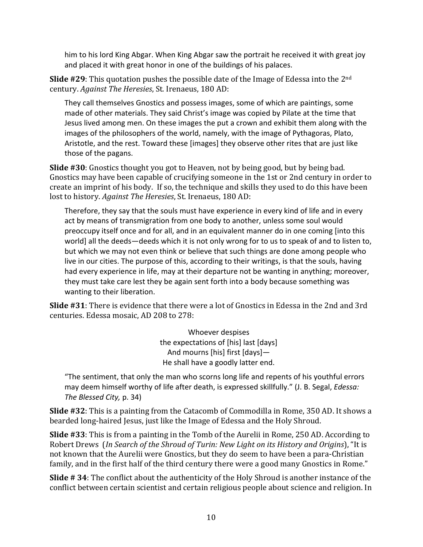him to his lord King Abgar. When King Abgar saw the portrait he received it with great joy and placed it with great honor in one of the buildings of his palaces.

**Slide**  $#29$ : This quotation pushes the possible date of the Image of Edessa into the  $2<sup>nd</sup>$ century. *Against The Heresies*, St. Irenaeus, 180 AD:

They call themselves Gnostics and possess images, some of which are paintings, some made of other materials. They said Christ's image was copied by Pilate at the time that Jesus lived among men. On these images the put a crown and exhibit them along with the images of the philosophers of the world, namely, with the image of Pythagoras, Plato, Aristotle, and the rest. Toward these [images] they observe other rites that are just like those of the pagans.

**Slide #30**: Gnostics thought you got to Heaven, not by being good, but by being bad. Gnostics may have been capable of crucifying someone in the 1st or 2nd century in order to create an imprint of his body. If so, the technique and skills they used to do this have been lost to history. *Against The Heresies*, St. Irenaeus, 180 AD:

Therefore, they say that the souls must have experience in every kind of life and in every act by means of transmigration from one body to another, unless some soul would preoccupy itself once and for all, and in an equivalent manner do in one coming [into this world] all the deeds—deeds which it is not only wrong for to us to speak of and to listen to, but which we may not even think or believe that such things are done among people who live in our cities. The purpose of this, according to their writings, is that the souls, having had every experience in life, may at their departure not be wanting in anything; moreover, they must take care lest they be again sent forth into a body because something was wanting to their liberation.

**Slide #31**: There is evidence that there were a lot of Gnostics in Edessa in the 2nd and 3rd centuries. Edessa mosaic, AD 208 to 278:

> Whoever despises the expectations of [his] last [days] And mourns [his] first [days]-He shall have a goodly latter end.

"The sentiment, that only the man who scorns long life and repents of his youthful errors may deem himself worthy of life after death, is expressed skillfully." (J. B. Segal, *Edessa: The Blessed City,* p. 34)

**Slide** #32: This is a painting from the Catacomb of Commodilla in Rome, 350 AD. It shows a bearded long-haired Jesus, just like the Image of Edessa and the Holy Shroud.

**Slide** #33: This is from a painting in the Tomb of the Aurelii in Rome, 250 AD. According to Robert Drews (In Search of the Shroud of Turin: New Light on its History and Origins), "It is not known that the Aurelii were Gnostics, but they do seem to have been a para-Christian family, and in the first half of the third century there were a good many Gnostics in Rome."

**Slide** # 34: The conflict about the authenticity of the Holy Shroud is another instance of the conflict between certain scientist and certain religious people about science and religion. In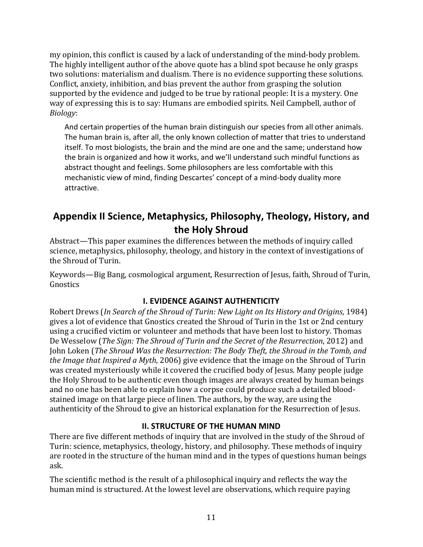my opinion, this conflict is caused by a lack of understanding of the mind-body problem. The highly intelligent author of the above quote has a blind spot because he only grasps two solutions: materialism and dualism. There is no evidence supporting these solutions. Conflict, anxiety, inhibition, and bias prevent the author from grasping the solution supported by the evidence and judged to be true by rational people: It is a mystery. One way of expressing this is to say: Humans are embodied spirits. Neil Campbell, author of *Biology*:

And certain properties of the human brain distinguish our species from all other animals. The human brain is, after all, the only known collection of matter that tries to understand itself. To most biologists, the brain and the mind are one and the same; understand how the brain is organized and how it works, and we'll understand such mindful functions as abstract thought and feelings. Some philosophers are less comfortable with this mechanistic view of mind, finding Descartes' concept of a mind-body duality more attractive.

# Appendix II Science, Metaphysics, Philosophy, Theology, History, and the **Holy** Shroud

Abstract—This paper examines the differences between the methods of inquiry called science, metaphysics, philosophy, theology, and history in the context of investigations of the Shroud of Turin.

Keywords—Big Bang, cosmological argument, Resurrection of Jesus, faith, Shroud of Turin, Gnostics 

### **I. EVIDENCE AGAINST AUTHENTICITY**

Robert Drews (*In Search of the Shroud of Turin: New Light on Its History and Origins*, 1984) gives a lot of evidence that Gnostics created the Shroud of Turin in the 1st or 2nd century using a crucified victim or volunteer and methods that have been lost to history. Thomas De Wesselow (*The Sign: The Shroud of Turin and the Secret of the Resurrection*, 2012) and John Loken (*The Shroud Was the Resurrection: The Body Theft, the Shroud in the Tomb, and the Image that Inspired a Myth,* 2006) give evidence that the image on the Shroud of Turin was created mysteriously while it covered the crucified body of Jesus. Many people judge the Holy Shroud to be authentic even though images are always created by human beings and no one has been able to explain how a corpse could produce such a detailed bloodstained image on that large piece of linen. The authors, by the way, are using the authenticity of the Shroud to give an historical explanation for the Resurrection of Jesus.

## **II. STRUCTURE OF THE HUMAN MIND**

There are five different methods of inquiry that are involved in the study of the Shroud of Turin: science, metaphysics, theology, history, and philosophy. These methods of inquiry are rooted in the structure of the human mind and in the types of questions human beings ask. 

The scientific method is the result of a philosophical inquiry and reflects the way the human mind is structured. At the lowest level are observations, which require paying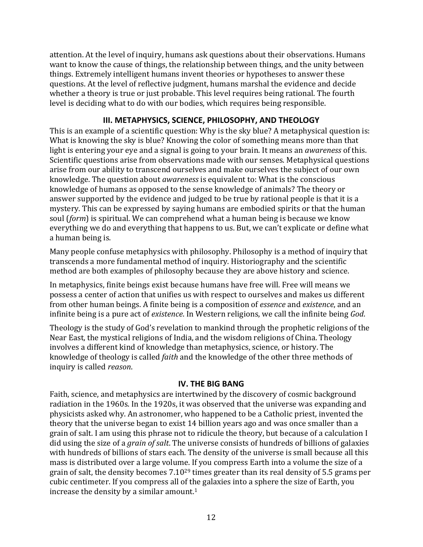attention. At the level of inquiry, humans ask questions about their observations. Humans want to know the cause of things, the relationship between things, and the unity between things. Extremely intelligent humans invent theories or hypotheses to answer these questions. At the level of reflective judgment, humans marshal the evidence and decide whether a theory is true or just probable. This level requires being rational. The fourth level is deciding what to do with our bodies, which requires being responsible.

### **III. METAPHYSICS, SCIENCE, PHILOSOPHY, AND THEOLOGY**

This is an example of a scientific question: Why is the sky blue? A metaphysical question is: What is knowing the sky is blue? Knowing the color of something means more than that light is entering your eye and a signal is going to your brain. It means an *awareness* of this. Scientific questions arise from observations made with our senses. Metaphysical questions arise from our ability to transcend ourselves and make ourselves the subject of our own knowledge. The question about *awareness* is equivalent to: What is the conscious knowledge of humans as opposed to the sense knowledge of animals? The theory or answer supported by the evidence and judged to be true by rational people is that it is a mystery. This can be expressed by saying humans are embodied spirits or that the human soul (*form*) is spiritual. We can comprehend what a human being is because we know everything we do and everything that happens to us. But, we can't explicate or define what a human being is.

Many people confuse metaphysics with philosophy. Philosophy is a method of inquiry that transcends a more fundamental method of inquiry. Historiography and the scientific method are both examples of philosophy because they are above history and science.

In metaphysics, finite beings exist because humans have free will. Free will means we possess a center of action that unifies us with respect to ourselves and makes us different from other human beings. A finite being is a composition of *essence* and *existence*, and an infinite being is a pure act of *existence*. In Western religions, we call the infinite being *God*.

Theology is the study of God's revelation to mankind through the prophetic religions of the Near East, the mystical religions of India, and the wisdom religions of China. Theology involves a different kind of knowledge than metaphysics, science, or history. The knowledge of theology is called *faith* and the knowledge of the other three methods of inquiry is called *reason*. 

### **IV. THE BIG BANG**

Faith, science, and metaphysics are intertwined by the discovery of cosmic background radiation in the 1960s. In the 1920s, it was observed that the universe was expanding and physicists asked why. An astronomer, who happened to be a Catholic priest, invented the theory that the universe began to exist 14 billion years ago and was once smaller than a grain of salt. I am using this phrase not to ridicule the theory, but because of a calculation I did using the size of a *grain of salt*. The universe consists of hundreds of billions of galaxies with hundreds of billions of stars each. The density of the universe is small because all this mass is distributed over a large volume. If you compress Earth into a volume the size of a grain of salt, the density becomes  $7.10^{29}$  times greater than its real density of 5.5 grams per cubic centimeter. If you compress all of the galaxies into a sphere the size of Earth, you increase the density by a similar amount. $1$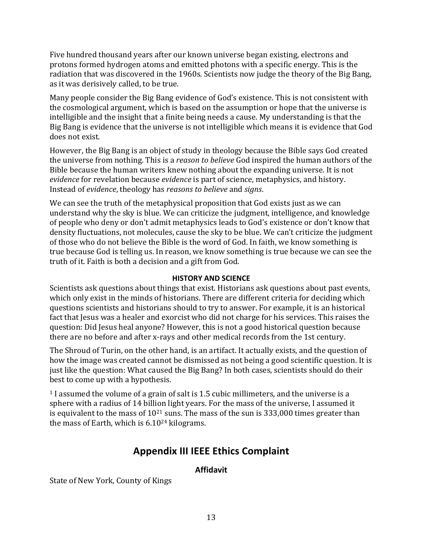Five hundred thousand years after our known universe began existing, electrons and protons formed hydrogen atoms and emitted photons with a specific energy. This is the radiation that was discovered in the 1960s. Scientists now judge the theory of the Big Bang, as it was derisively called, to be true.

Many people consider the Big Bang evidence of God's existence. This is not consistent with the cosmological argument, which is based on the assumption or hope that the universe is intelligible and the insight that a finite being needs a cause. My understanding is that the Big Bang is evidence that the universe is not intelligible which means it is evidence that God does not exist.

However, the Big Bang is an object of study in theology because the Bible says God created the universe from nothing. This is a *reason to believe* God inspired the human authors of the Bible because the human writers knew nothing about the expanding universe. It is not *evidence* for revelation because *evidence* is part of science, metaphysics, and history. Instead of *evidence*, theology has *reasons to believe* and *signs*. 

We can see the truth of the metaphysical proposition that God exists just as we can understand why the sky is blue. We can criticize the judgment, intelligence, and knowledge of people who deny or don't admit metaphysics leads to God's existence or don't know that density fluctuations, not molecules, cause the sky to be blue. We can't criticize the judgment of those who do not believe the Bible is the word of God. In faith, we know something is true because God is telling us. In reason, we know something is true because we can see the truth of it. Faith is both a decision and a gift from God.

#### **HISTORY AND SCIENCE**

Scientists ask questions about things that exist. Historians ask questions about past events, which only exist in the minds of historians. There are different criteria for deciding which questions scientists and historians should to try to answer. For example, it is an historical fact that Jesus was a healer and exorcist who did not charge for his services. This raises the question: Did Jesus heal anyone? However, this is not a good historical question because there are no before and after x-rays and other medical records from the 1st century.

The Shroud of Turin, on the other hand, is an artifact. It actually exists, and the question of how the image was created cannot be dismissed as not being a good scientific question. It is just like the question: What caused the Big Bang? In both cases, scientists should do their best to come up with a hypothesis.

 $1$  I assumed the volume of a grain of salt is 1.5 cubic millimeters, and the universe is a sphere with a radius of 14 billion light years. For the mass of the universe, I assumed it is equivalent to the mass of  $10^{21}$  suns. The mass of the sun is 333,000 times greater than the mass of Earth, which is  $6.10^{24}$  kilograms.

# **Appendix III IEEE Ethics Complaint**

## **Affidavit**

State of New York, County of Kings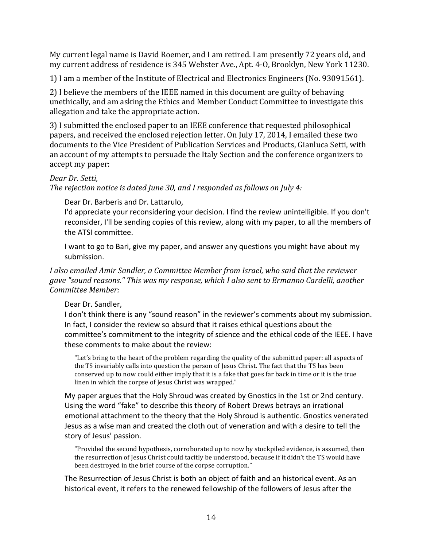My current legal name is David Roemer, and I am retired. I am presently 72 years old, and my current address of residence is 345 Webster Ave., Apt. 4-0, Brooklyn, New York 11230.

1) I am a member of the Institute of Electrical and Electronics Engineers (No. 93091561).

2) I believe the members of the IEEE named in this document are guilty of behaving unethically, and am asking the Ethics and Member Conduct Committee to investigate this allegation and take the appropriate action.

3) I submitted the enclosed paper to an IEEE conference that requested philosophical papers, and received the enclosed rejection letter. On July 17, 2014, I emailed these two documents to the Vice President of Publication Services and Products, Gianluca Setti, with an account of my attempts to persuade the Italy Section and the conference organizers to accept my paper:

### *Dear Dr. Setti,*

*The rejection notice is dated June 30, and I responded as follows on July 4:* 

Dear Dr. Barberis and Dr. Lattarulo,

I'd appreciate your reconsidering your decision. I find the review unintelligible. If you don't reconsider, I'll be sending copies of this review, along with my paper, to all the members of the ATSI committee.

I want to go to Bari, give my paper, and answer any questions you might have about my submission. 

I also emailed Amir Sandler, a Committee Member from Israel, who said that the reviewer gave "sound reasons." This was my response, which I also sent to Ermanno Cardelli, another *Committee Member:*

Dear Dr. Sandler,

I don't think there is any "sound reason" in the reviewer's comments about my submission. In fact, I consider the review so absurd that it raises ethical questions about the committee's commitment to the integrity of science and the ethical code of the IEEE. I have these comments to make about the review:

"Let's bring to the heart of the problem regarding the quality of the submitted paper: all aspects of the TS invariably calls into question the person of Jesus Christ. The fact that the TS has been conserved up to now could either imply that it is a fake that goes far back in time or it is the true linen in which the corpse of Jesus Christ was wrapped."

My paper argues that the Holy Shroud was created by Gnostics in the 1st or 2nd century. Using the word "fake" to describe this theory of Robert Drews betrays an irrational emotional attachment to the theory that the Holy Shroud is authentic. Gnostics venerated Jesus as a wise man and created the cloth out of veneration and with a desire to tell the story of Jesus' passion.

"Provided the second hypothesis, corroborated up to now by stockpiled evidence, is assumed, then the resurrection of Jesus Christ could tacitly be understood, because if it didn't the TS would have been destroyed in the brief course of the corpse corruption."

The Resurrection of Jesus Christ is both an object of faith and an historical event. As an historical event, it refers to the renewed fellowship of the followers of Jesus after the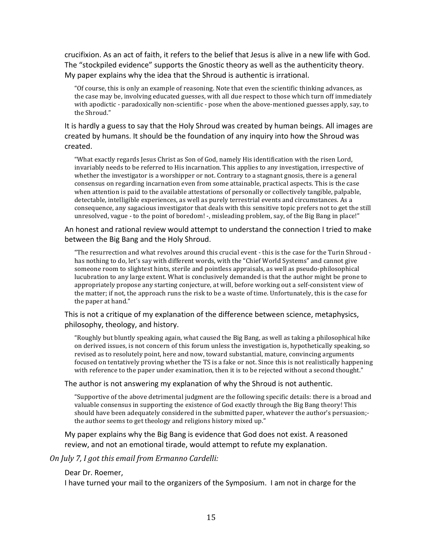crucifixion. As an act of faith, it refers to the belief that Jesus is alive in a new life with God. The "stockpiled evidence" supports the Gnostic theory as well as the authenticity theory. My paper explains why the idea that the Shroud is authentic is irrational.

"Of course, this is only an example of reasoning. Note that even the scientific thinking advances, as the case may be, involving educated guesses, with all due respect to those which turn off immediately with apodictic - paradoxically non-scientific - pose when the above-mentioned guesses apply, say, to the Shroud."

It is hardly a guess to say that the Holy Shroud was created by human beings. All images are created by humans. It should be the foundation of any inquiry into how the Shroud was created.

"What exactly regards Jesus Christ as Son of God, namely His identification with the risen Lord, invariably needs to be referred to His incarnation. This applies to any investigation, irrespective of whether the investigator is a worshipper or not. Contrary to a stagnant gnosis, there is a general consensus on regarding incarnation even from some attainable, practical aspects. This is the case when attention is paid to the available attestations of personally or collectively tangible, palpable, detectable, intelligible experiences, as well as purely terrestrial events and circumstances. As a consequence, any sagacious investigator that deals with this sensitive topic prefers not to get the still unresolved, vague - to the point of boredom! -, misleading problem, say, of the Big Bang in place!"

An honest and rational review would attempt to understand the connection I tried to make between the Big Bang and the Holy Shroud.

"The resurrection and what revolves around this crucial event - this is the case for the Turin Shroud has nothing to do, let's say with different words, with the "Chief World Systems" and cannot give someone room to slightest hints, sterile and pointless appraisals, as well as pseudo-philosophical lucubration to any large extent. What is conclusively demanded is that the author might be prone to appropriately propose any starting conjecture, at will, before working out a self-consistent view of the matter; if not, the approach runs the risk to be a waste of time. Unfortunately, this is the case for the paper at hand."

This is not a critique of my explanation of the difference between science, metaphysics, philosophy, theology, and history.

"Roughly but bluntly speaking again, what caused the Big Bang, as well as taking a philosophical hike on derived issues, is not concern of this forum unless the investigation is, hypothetically speaking, so revised as to resolutely point, here and now, toward substantial, mature, convincing arguments focused on tentatively proving whether the TS is a fake or not. Since this is not realistically happening with reference to the paper under examination, then it is to be rejected without a second thought."

The author is not answering my explanation of why the Shroud is not authentic.

"Supportive of the above detrimental judgment are the following specific details: there is a broad and valuable consensus in supporting the existence of God exactly through the Big Bang theory! This should have been adequately considered in the submitted paper, whatever the author's persuasion;the author seems to get theology and religions history mixed up."

My paper explains why the Big Bang is evidence that God does not exist. A reasoned review, and not an emotional tirade, would attempt to refute my explanation.

#### *On July 7, I got this email from Ermanno Cardelli:*

#### Dear Dr. Roemer,

I have turned your mail to the organizers of the Symposium. I am not in charge for the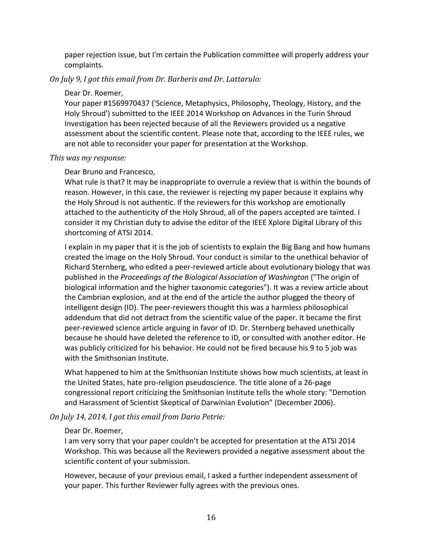paper rejection issue, but I'm certain the Publication committee will properly address your complaints.

#### *On July 9, I got this email from Dr. Barberis and Dr. Lattarulo:*

#### Dear Dr. Roemer,

Your paper #1569970437 ('Science, Metaphysics, Philosophy, Theology, History, and the Holy Shroud') submitted to the IEEE 2014 Workshop on Advances in the Turin Shroud Investigation has been rejected because of all the Reviewers provided us a negative assessment about the scientific content. Please note that, according to the IEEE rules, we are not able to reconsider your paper for presentation at the Workshop.

#### This was my response:

#### Dear Bruno and Francesco,

What rule is that? It may be inappropriate to overrule a review that is within the bounds of reason. However, in this case, the reviewer is rejecting my paper because it explains why the Holy Shroud is not authentic. If the reviewers for this workshop are emotionally attached to the authenticity of the Holy Shroud, all of the papers accepted are tainted. I consider it my Christian duty to advise the editor of the IEEE Xplore Digital Library of this shortcoming of ATSI 2014.

I explain in my paper that it is the job of scientists to explain the Big Bang and how humans created the image on the Holy Shroud. Your conduct is similar to the unethical behavior of Richard Sternberg, who edited a peer-reviewed article about evolutionary biology that was published in the *Proceedings of the Biological Association of Washington* ("The origin of biological information and the higher taxonomic categories"). It was a review article about the Cambrian explosion, and at the end of the article the author plugged the theory of intelligent design (ID). The peer-reviewers thought this was a harmless philosophical addendum that did not detract from the scientific value of the paper. It became the first peer-reviewed science article arguing in favor of ID. Dr. Sternberg behaved unethically because he should have deleted the reference to ID, or consulted with another editor. He was publicly criticized for his behavior. He could not be fired because his 9 to 5 job was with the Smithsonian Institute.

What happened to him at the Smithsonian Institute shows how much scientists, at least in the United States, hate pro-religion pseudoscience. The title alone of a 26-page congressional report criticizing the Smithsonian Institute tells the whole story: "Demotion and Harassment of Scientist Skeptical of Darwinian Evolution" (December 2006).

*On July 14, 2014, I got this email from Dario Petrie:* 

#### Dear Dr. Roemer,

I am very sorry that your paper couldn't be accepted for presentation at the ATSI 2014 Workshop. This was because all the Reviewers provided a negative assessment about the scientific content of your submission.

However, because of your previous email, I asked a further independent assessment of your paper. This further Reviewer fully agrees with the previous ones.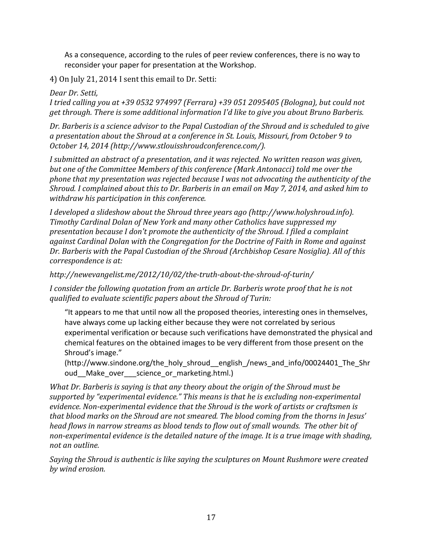As a consequence, according to the rules of peer review conferences, there is no way to reconsider your paper for presentation at the Workshop.

4) On July 21, 2014 I sent this email to Dr. Setti:

*Dear Dr. Setti,*

*I* tried calling you at +39 0532 974997 (Ferrara) +39 051 2095405 (Bologna), but could not get through. There is some additional information I'd like to give you about Bruno Barberis.

*Dr.* Barberis is a science advisor to the Papal Custodian of the Shroud and is scheduled to give a presentation about the Shroud at a conference in St. Louis, Missouri, from October 9 to *October 14, 2014 (http://www.stlouisshroudconference.com/).* 

I submitted an abstract of a presentation, and it was rejected. No written reason was given, but one of the Committee Members of this conference (Mark Antonacci) told me over the phone that my presentation was rejected because I was not advocating the authenticity of the *Shroud.* I complained about this to Dr. Barberis in an email on May 7, 2014, and asked him to withdraw his participation in this conference.

*I* developed a slideshow about the Shroud three years ago (http://www.holyshroud.info). *Timothy Cardinal Dolan of New York and many other Catholics have suppressed my* presentation because I don't promote the authenticity of the Shroud. I filed a complaint against Cardinal Dolan with the Congregation for the Doctrine of Faith in Rome and against Dr. Barberis with the Papal Custodian of the Shroud (Archbishop Cesare Nosiglia). All of this *correspondence is at:* 

*http://newevangelist.me/2012/10/02/the-truth-about-the-shroud-of-turin/*

*I* consider the following quotation from an article Dr. Barberis wrote proof that he is not *qualified to evaluate scientific papers about the Shroud of Turin:* 

"It appears to me that until now all the proposed theories, interesting ones in themselves, have always come up lacking either because they were not correlated by serious experimental verification or because such verifications have demonstrated the physical and chemical features on the obtained images to be very different from those present on the Shroud's image."

(http://www.sindone.org/the\_holy\_shroud\_\_english\_/news\_and\_info/00024401\_The\_Shr oud Make over science or marketing.html.)

*What Dr. Barberis is saying is that any theory about the origin of the Shroud must be* supported by "experimental evidence." This means is that he is excluding non-experimental evidence. Non-experimental evidence that the Shroud is the work of artists or craftsmen is that blood marks on the Shroud are not smeared. The blood coming from the thorns in Jesus' *head flows in narrow streams as blood tends to flow out of small wounds. The other bit of* non-experimental evidence is the detailed nature of the image. It is a true image with shading, *not an outline.* 

*Saying the Shroud is authentic is like saying the sculptures on Mount Rushmore were created by wind erosion.*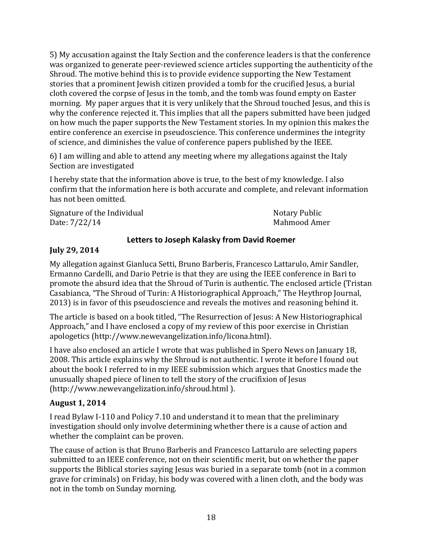5) My accusation against the Italy Section and the conference leaders is that the conference was organized to generate peer-reviewed science articles supporting the authenticity of the Shroud. The motive behind this is to provide evidence supporting the New Testament stories that a prominent Jewish citizen provided a tomb for the crucified Jesus, a burial cloth covered the corpse of Jesus in the tomb, and the tomb was found empty on Easter morning. My paper argues that it is very unlikely that the Shroud touched Jesus, and this is why the conference rejected it. This implies that all the papers submitted have been judged on how much the paper supports the New Testament stories. In my opinion this makes the entire conference an exercise in pseudoscience. This conference undermines the integrity of science, and diminishes the value of conference papers published by the IEEE.

6) I am willing and able to attend any meeting where my allegations against the Italy Section are investigated

I hereby state that the information above is true, to the best of my knowledge. I also confirm that the information here is both accurate and complete, and relevant information has not been omitted.

Signature of the Individual Notary Public Date: 7/22/14 Mahmood Amer

## **Letters to Joseph Kalasky from David Roemer**

## **July 29, 2014**

My allegation against Gianluca Setti, Bruno Barberis, Francesco Lattarulo, Amir Sandler, Ermanno Cardelli, and Dario Petrie is that they are using the IEEE conference in Bari to promote the absurd idea that the Shroud of Turin is authentic. The enclosed article (Tristan Casabianca, "The Shroud of Turin: A Historiographical Approach," The Heythrop Journal, 2013) is in favor of this pseudoscience and reveals the motives and reasoning behind it.

The article is based on a book titled, "The Resurrection of Jesus: A New Historiographical Approach," and I have enclosed a copy of my review of this poor exercise in Christian apologetics (http://www.newevangelization.info/licona.html).

I have also enclosed an article I wrote that was published in Spero News on January 18, 2008. This article explains why the Shroud is not authentic. I wrote it before I found out about the book I referred to in my IEEE submission which argues that Gnostics made the unusually shaped piece of linen to tell the story of the crucifixion of Jesus (http://www.newevangelization.info/shroud.html ). 

## **August 1, 2014**

I read Bylaw I-110 and Policy 7.10 and understand it to mean that the preliminary investigation should only involve determining whether there is a cause of action and whether the complaint can be proven.

The cause of action is that Bruno Barberis and Francesco Lattarulo are selecting papers submitted to an IEEE conference, not on their scientific merit, but on whether the paper supports the Biblical stories saying Jesus was buried in a separate tomb (not in a common grave for criminals) on Friday, his body was covered with a linen cloth, and the body was not in the tomb on Sunday morning.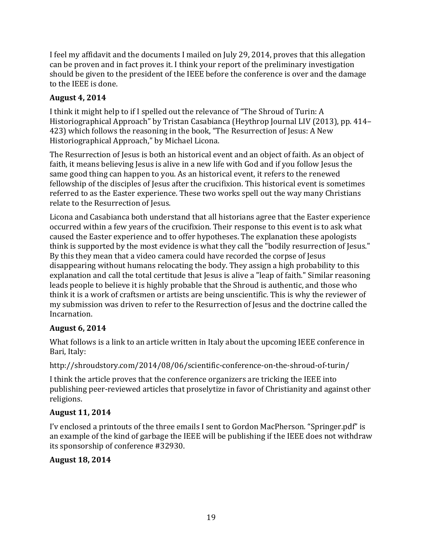I feel my affidavit and the documents I mailed on July 29, 2014, proves that this allegation can be proven and in fact proves it. I think your report of the preliminary investigation should be given to the president of the IEEE before the conference is over and the damage to the IEEE is done.

## **August 4, 2014**

I think it might help to if I spelled out the relevance of "The Shroud of Turin: A Historiographical Approach" by Tristan Casabianca (Heythrop Journal LIV (2013), pp. 414– 423) which follows the reasoning in the book, "The Resurrection of Jesus: A New Historiographical Approach," by Michael Licona.

The Resurrection of Jesus is both an historical event and an object of faith. As an object of faith, it means believing Jesus is alive in a new life with God and if you follow Jesus the same good thing can happen to you. As an historical event, it refers to the renewed fellowship of the disciples of Jesus after the crucifixion. This historical event is sometimes referred to as the Easter experience. These two works spell out the way many Christians relate to the Resurrection of Jesus.

Licona and Casabianca both understand that all historians agree that the Easter experience occurred within a few years of the crucifixion. Their response to this event is to ask what caused the Easter experience and to offer hypotheses. The explanation these apologists think is supported by the most evidence is what they call the "bodily resurrection of Jesus." By this they mean that a video camera could have recorded the corpse of Jesus disappearing without humans relocating the body. They assign a high probability to this explanation and call the total certitude that Jesus is alive a "leap of faith." Similar reasoning leads people to believe it is highly probable that the Shroud is authentic, and those who think it is a work of craftsmen or artists are being unscientific. This is why the reviewer of my submission was driven to refer to the Resurrection of Jesus and the doctrine called the Incarnation. 

## **August 6, 2014**

What follows is a link to an article written in Italy about the upcoming IEEE conference in Bari, Italy:

http://shroudstory.com/2014/08/06/scientific-conference-on-the-shroud-of-turin/

I think the article proves that the conference organizers are tricking the IEEE into publishing peer-reviewed articles that proselytize in favor of Christianity and against other religions.

## **August 11, 2014**

I'v enclosed a printouts of the three emails I sent to Gordon MacPherson. "Springer.pdf" is an example of the kind of garbage the IEEE will be publishing if the IEEE does not withdraw its sponsorship of conference #32930.

## **August 18, 2014**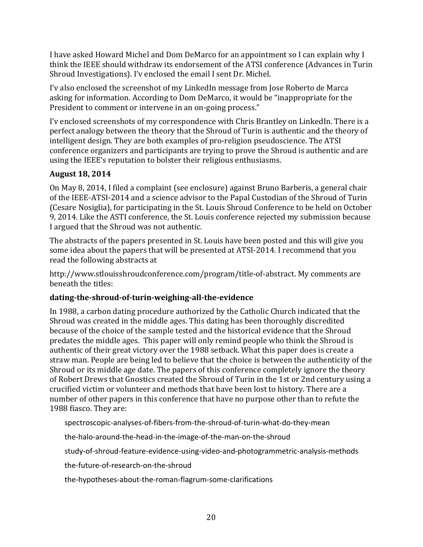I have asked Howard Michel and Dom DeMarco for an appointment so I can explain why I think the IEEE should withdraw its endorsement of the ATSI conference (Advances in Turin Shroud Investigations). I'v enclosed the email I sent Dr. Michel.

I'v also enclosed the screenshot of my LinkedIn message from Jose Roberto de Marca asking for information. According to Dom DeMarco, it would be "inappropriate for the President to comment or intervene in an on-going process."

I'v enclosed screenshots of my correspondence with Chris Brantley on LinkedIn. There is a perfect analogy between the theory that the Shroud of Turin is authentic and the theory of intelligent design. They are both examples of pro-religion pseudoscience. The ATSI conference organizers and participants are trying to prove the Shroud is authentic and are using the IEEE's reputation to bolster their religious enthusiasms.

### **August 18, 2014**

On May 8, 2014, I filed a complaint (see enclosure) against Bruno Barberis, a general chair of the IEEE-ATSI-2014 and a science advisor to the Papal Custodian of the Shroud of Turin (Cesare Nosiglia), for participating in the St. Louis Shroud Conference to be held on October 9, 2014. Like the ASTI conference, the St. Louis conference rejected my submission because I argued that the Shroud was not authentic.

The abstracts of the papers presented in St. Louis have been posted and this will give you some idea about the papers that will be presented at ATSI-2014. I recommend that you read the following abstracts at

http://www.stlouisshroudconference.com/program/title-of-abstract. My comments are beneath the titles:

### **dating-the-shroud-of-turin-weighing-all-the-evidence**

In 1988, a carbon dating procedure authorized by the Catholic Church indicated that the Shroud was created in the middle ages. This dating has been thoroughly discredited because of the choice of the sample tested and the historical evidence that the Shroud predates the middle ages. This paper will only remind people who think the Shroud is authentic of their great victory over the 1988 setback. What this paper does is create a straw man. People are being led to believe that the choice is between the authenticity of the Shroud or its middle age date. The papers of this conference completely ignore the theory of Robert Drews that Gnostics created the Shroud of Turin in the 1st or 2nd century using a crucified victim or volunteer and methods that have been lost to history. There are a number of other papers in this conference that have no purpose other than to refute the 1988 fiasco. They are:

spectroscopic-analyses-of-fibers-from-the-shroud-of-turin-what-do-they-mean

the-halo-around-the-head-in-the-image-of-the-man-on-the-shroud

study-of-shroud-feature-evidence-using-video-and-photogrammetric-analysis-methods

the-future-of-research-on-the-shroud

the-hypotheses-about-the-roman-flagrum-some-clarifications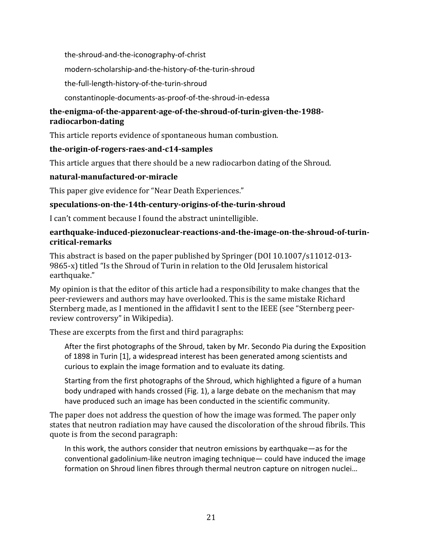the-shroud-and-the-iconography-of-christ

modern-scholarship-and-the-history-of-the-turin-shroud

the-full-length-history-of-the-turin-shroud

constantinople-documents-as-proof-of-the-shroud-in-edessa

### **the-enigma-of-the-apparent-age-of-the-shroud-of-turin-given-the-1988 radiocarbon-dating**

This article reports evidence of spontaneous human combustion.

### **the-origin-of-rogers-raes-and-c14-samples**

This article argues that there should be a new radiocarbon dating of the Shroud.

### **natural-manufactured-or-miracle**

This paper give evidence for "Near Death Experiences."

### **speculations-on-the-14th-century-origins-of-the-turin-shroud**

I can't comment because I found the abstract unintelligible.

#### **earthquake-induced-piezonuclear-reactions-and-the-image-on-the-shroud-of-turincritical-remarks**

This abstract is based on the paper published by Springer (DOI  $10.1007/s11012-013-$ 9865-x) titled "Is the Shroud of Turin in relation to the Old Jerusalem historical earthquake." 

My opinion is that the editor of this article had a responsibility to make changes that the peer-reviewers and authors may have overlooked. This is the same mistake Richard Sternberg made, as I mentioned in the affidavit I sent to the IEEE (see "Sternberg peerreview controversy" in Wikipedia).

These are excerpts from the first and third paragraphs:

After the first photographs of the Shroud, taken by Mr. Secondo Pia during the Exposition of 1898 in Turin [1], a widespread interest has been generated among scientists and curious to explain the image formation and to evaluate its dating.

Starting from the first photographs of the Shroud, which highlighted a figure of a human body undraped with hands crossed (Fig. 1), a large debate on the mechanism that may have produced such an image has been conducted in the scientific community.

The paper does not address the question of how the image was formed. The paper only states that neutron radiation may have caused the discoloration of the shroud fibrils. This quote is from the second paragraph:

In this work, the authors consider that neutron emissions by earthquake—as for the conventional gadolinium-like neutron imaging technique— could have induced the image formation on Shroud linen fibres through thermal neutron capture on nitrogen nuclei...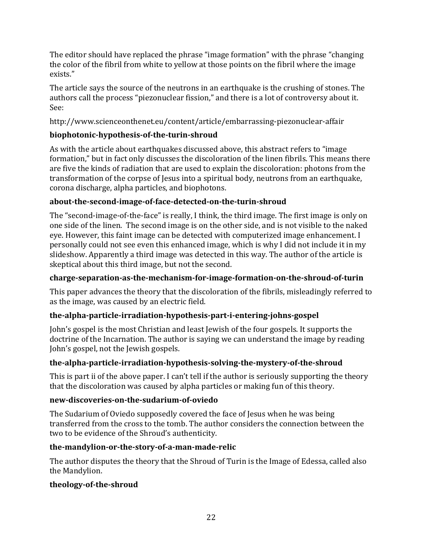The editor should have replaced the phrase "image formation" with the phrase "changing" the color of the fibril from white to yellow at those points on the fibril where the image exists."

The article says the source of the neutrons in an earthquake is the crushing of stones. The authors call the process "piezonuclear fission," and there is a lot of controversy about it. See:

http://www.scienceonthenet.eu/content/article/embarrassing-piezonuclear-affair

# **biophotonic-hypothesis-of-the-turin-shroud**

As with the article about earthquakes discussed above, this abstract refers to "image formation," but in fact only discusses the discoloration of the linen fibrils. This means there are five the kinds of radiation that are used to explain the discoloration: photons from the transformation of the corpse of Jesus into a spiritual body, neutrons from an earthquake, corona discharge, alpha particles, and biophotons.

# **about-the-second-image-of-face-detected-on-the-turin-shroud**

The "second-image-of-the-face" is really, I think, the third image. The first image is only on one side of the linen. The second image is on the other side, and is not visible to the naked eye. However, this faint image can be detected with computerized image enhancement. I personally could not see even this enhanced image, which is why I did not include it in my slideshow. Apparently a third image was detected in this way. The author of the article is skeptical about this third image, but not the second.

## **charge-separation-as-the-mechanism-for-image-formation-on-the-shroud-of-turin**

This paper advances the theory that the discoloration of the fibrils, misleadingly referred to as the image, was caused by an electric field.

## **the-alpha-particle-irradiation-hypothesis-part-i-entering-johns-gospel**

John's gospel is the most Christian and least Jewish of the four gospels. It supports the doctrine of the Incarnation. The author is saying we can understand the image by reading John's gospel, not the Jewish gospels.

## **the-alpha-particle-irradiation-hypothesis-solving-the-mystery-of-the-shroud**

This is part ii of the above paper. I can't tell if the author is seriously supporting the theory that the discoloration was caused by alpha particles or making fun of this theory.

## **new-discoveries-on-the-sudarium-of-oviedo**

The Sudarium of Oviedo supposedly covered the face of Jesus when he was being transferred from the cross to the tomb. The author considers the connection between the two to be evidence of the Shroud's authenticity.

## **the-mandylion-or-the-story-of-a-man-made-relic**

The author disputes the theory that the Shroud of Turin is the Image of Edessa, called also the Mandylion.

## **theology-of-the-shroud**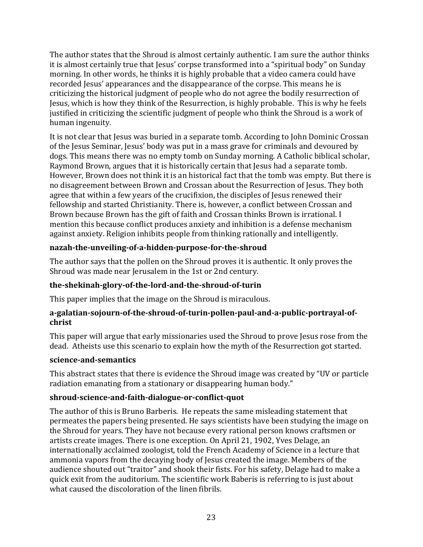The author states that the Shroud is almost certainly authentic. I am sure the author thinks it is almost certainly true that Jesus' corpse transformed into a "spiritual body" on Sunday morning. In other words, he thinks it is highly probable that a video camera could have recorded Jesus' appearances and the disappearance of the corpse. This means he is criticizing the historical judgment of people who do not agree the bodily resurrection of Jesus, which is how they think of the Resurrection, is highly probable. This is why he feels justified in criticizing the scientific judgment of people who think the Shroud is a work of human ingenuity.

It is not clear that Jesus was buried in a separate tomb. According to John Dominic Crossan of the Jesus Seminar, Jesus' body was put in a mass grave for criminals and devoured by dogs. This means there was no empty tomb on Sunday morning. A Catholic biblical scholar, Raymond Brown, argues that it is historically certain that Jesus had a separate tomb. However, Brown does not think it is an historical fact that the tomb was empty. But there is no disagreement between Brown and Crossan about the Resurrection of Jesus. They both agree that within a few years of the crucifixion, the disciples of Jesus renewed their fellowship and started Christianity. There is, however, a conflict between Crossan and Brown because Brown has the gift of faith and Crossan thinks Brown is irrational. I mention this because conflict produces anxiety and inhibition is a defense mechanism against anxiety. Religion inhibits people from thinking rationally and intelligently.

### **nazah-the-unveiling-of-a-hidden-purpose-for-the-shroud**

The author says that the pollen on the Shroud proves it is authentic. It only proves the Shroud was made near Jerusalem in the 1st or 2nd century.

### **the-shekinah-glory-of-the-lord-and-the-shroud-of-turin**

This paper implies that the image on the Shroud is miraculous.

### **a-galatian-sojourn-of-the-shroud-of-turin-pollen-paul-and-a-public-portrayal-ofchrist**

This paper will argue that early missionaries used the Shroud to prove Jesus rose from the dead. Atheists use this scenario to explain how the myth of the Resurrection got started.

#### **science-and-semantics**

This abstract states that there is evidence the Shroud image was created by "UV or particle" radiation emanating from a stationary or disappearing human body."

#### **shroud-science-and-faith-dialogue-or-conflict-quot**

The author of this is Bruno Barberis. He repeats the same misleading statement that permeates the papers being presented. He says scientists have been studying the image on the Shroud for years. They have not because every rational person knows craftsmen or artists create images. There is one exception. On April 21, 1902, Yves Delage, an internationally acclaimed zoologist, told the French Academy of Science in a lecture that ammonia vapors from the decaying body of Jesus created the image. Members of the audience shouted out "traitor" and shook their fists. For his safety, Delage had to make a quick exit from the auditorium. The scientific work Baberis is referring to is just about what caused the discoloration of the linen fibrils.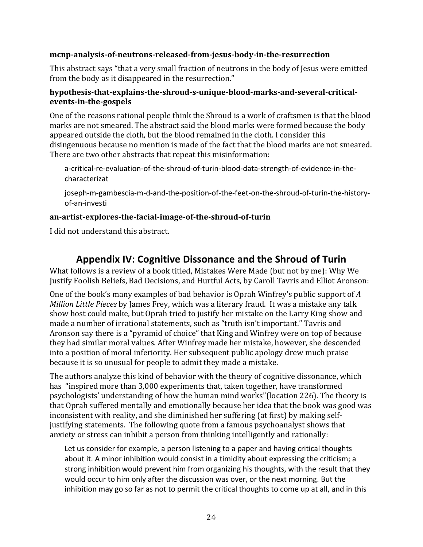#### **mcnp-analysis-of-neutrons-released-from-jesus-body-in-the-resurrection**

This abstract says "that a very small fraction of neutrons in the body of Jesus were emitted from the body as it disappeared in the resurrection."

### **hypothesis-that-explains-the-shroud-s-unique-blood-marks-and-several-criticalevents-in-the-gospels**

One of the reasons rational people think the Shroud is a work of craftsmen is that the blood marks are not smeared. The abstract said the blood marks were formed because the body appeared outside the cloth, but the blood remained in the cloth. I consider this disingenuous because no mention is made of the fact that the blood marks are not smeared. There are two other abstracts that repeat this misinformation:

a-critical-re-evaluation-of-the-shroud-of-turin-blood-data-strength-of-evidence-in-thecharacterizat

joseph-m-gambescia-m-d-and-the-position-of-the-feet-on-the-shroud-of-turin-the-historyof-an-investi

### **an-artist-explores-the-facial-image-of-the-shroud-of-turin**

I did not understand this abstract.

# **Appendix IV: Cognitive Dissonance and the Shroud of Turin**

What follows is a review of a book titled, Mistakes Were Made (but not by me): Why We Justify Foolish Beliefs, Bad Decisions, and Hurtful Acts, by Caroll Tavris and Elliot Aronson:

One of the book's many examples of bad behavior is Oprah Winfrey's public support of A *Million Little Pieces* by James Frey, which was a literary fraud. It was a mistake any talk show host could make, but Oprah tried to justify her mistake on the Larry King show and made a number of irrational statements, such as "truth isn't important." Tavris and Aronson say there is a "pyramid of choice" that King and Winfrey were on top of because they had similar moral values. After Winfrey made her mistake, however, she descended into a position of moral inferiority. Her subsequent public apology drew much praise because it is so unusual for people to admit they made a mistake.

The authors analyze this kind of behavior with the theory of cognitive dissonance, which has "inspired more than 3,000 experiments that, taken together, have transformed psychologists' understanding of how the human mind works"(location 226). The theory is that Oprah suffered mentally and emotionally because her idea that the book was good was inconsistent with reality, and she diminished her suffering (at first) by making selfjustifying statements. The following quote from a famous psychoanalyst shows that anxiety or stress can inhibit a person from thinking intelligently and rationally:

Let us consider for example, a person listening to a paper and having critical thoughts about it. A minor inhibition would consist in a timidity about expressing the criticism; a strong inhibition would prevent him from organizing his thoughts, with the result that they would occur to him only after the discussion was over, or the next morning. But the inhibition may go so far as not to permit the critical thoughts to come up at all, and in this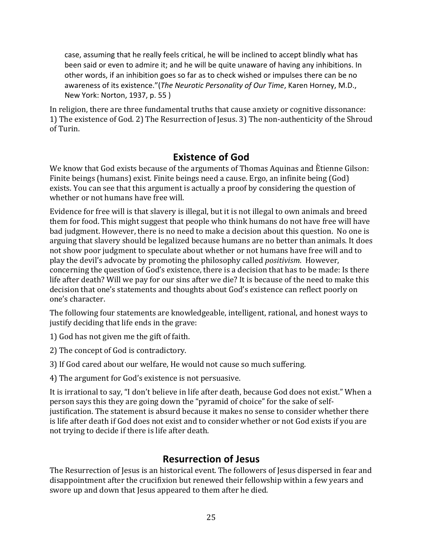case, assuming that he really feels critical, he will be inclined to accept blindly what has been said or even to admire it; and he will be quite unaware of having any inhibitions. In other words, if an inhibition goes so far as to check wished or impulses there can be no awareness of its existence."(*The Neurotic Personality of Our Time*, Karen Horney, M.D., New York: Norton, 1937, p. 55)

In religion, there are three fundamental truths that cause anxiety or cognitive dissonance: 1) The existence of God. 2) The Resurrection of Jesus. 3) The non-authenticity of the Shroud of Turin.

# **Existence of God**

We know that God exists because of the arguments of Thomas Aquinas and Ètienne Gilson: Finite beings (humans) exist. Finite beings need a cause. Ergo, an infinite being (God) exists. You can see that this argument is actually a proof by considering the question of whether or not humans have free will.

Evidence for free will is that slavery is illegal, but it is not illegal to own animals and breed them for food. This might suggest that people who think humans do not have free will have bad judgment. However, there is no need to make a decision about this question. No one is arguing that slavery should be legalized because humans are no better than animals. It does not show poor judgment to speculate about whether or not humans have free will and to play the devil's advocate by promoting the philosophy called *positivism*. However, concerning the question of God's existence, there is a decision that has to be made: Is there life after death? Will we pay for our sins after we die? It is because of the need to make this decision that one's statements and thoughts about God's existence can reflect poorly on one's character.

The following four statements are knowledgeable, intelligent, rational, and honest ways to justify deciding that life ends in the grave:

1) God has not given me the gift of faith.

2) The concept of God is contradictory.

3) If God cared about our welfare, He would not cause so much suffering.

4) The argument for God's existence is not persuasive.

It is irrational to say, "I don't believe in life after death, because God does not exist." When a person says this they are going down the "pyramid of choice" for the sake of selfjustification. The statement is absurd because it makes no sense to consider whether there is life after death if God does not exist and to consider whether or not God exists if you are not trying to decide if there is life after death.

# **Resurrection of Jesus**

The Resurrection of Jesus is an historical event. The followers of Jesus dispersed in fear and disappointment after the crucifixion but renewed their fellowship within a few years and swore up and down that Jesus appeared to them after he died.